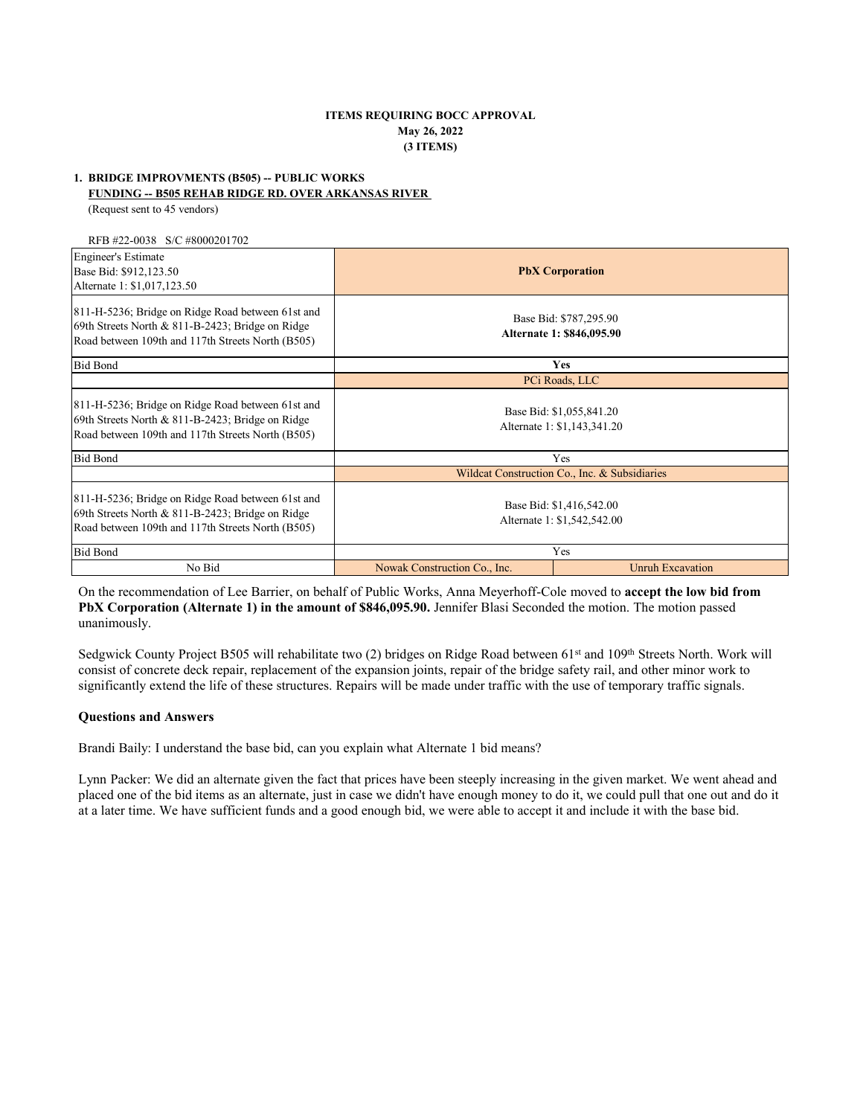## **ITEMS REQUIRING BOCC APPROVAL May 26, 2022 (3 ITEMS)**

# **1. BRIDGE IMPROVMENTS (B505) -- PUBLIC WORKS**

## **FUNDING -- B505 REHAB RIDGE RD. OVER ARKANSAS RIVER**

(Request sent to 45 vendors)

RFB #22-0038 S/C #8000201702

| <b>Engineer's Estimate</b><br>Base Bid: \$912,123.50<br>Alternate 1: \$1,017,123.50                                                                        | <b>PbX</b> Corporation                                  |                         |
|------------------------------------------------------------------------------------------------------------------------------------------------------------|---------------------------------------------------------|-------------------------|
| 811-H-5236; Bridge on Ridge Road between 61st and<br>69th Streets North & 811-B-2423; Bridge on Ridge<br>Road between 109th and 117th Streets North (B505) | Base Bid: \$787,295.90<br>Alternate 1: \$846,095.90     |                         |
| <b>Bid Bond</b>                                                                                                                                            | Yes                                                     |                         |
|                                                                                                                                                            |                                                         | PCi Roads, LLC          |
| 811-H-5236; Bridge on Ridge Road between 61st and<br>69th Streets North & 811-B-2423; Bridge on Ridge<br>Road between 109th and 117th Streets North (B505) | Base Bid: \$1,055,841.20<br>Alternate 1: \$1,143,341.20 |                         |
| <b>Bid Bond</b>                                                                                                                                            | Yes                                                     |                         |
|                                                                                                                                                            | Wildcat Construction Co., Inc. & Subsidiaries           |                         |
| 811-H-5236; Bridge on Ridge Road between 61st and<br>69th Streets North & 811-B-2423; Bridge on Ridge<br>Road between 109th and 117th Streets North (B505) | Base Bid: \$1,416,542.00<br>Alternate 1: \$1,542,542.00 |                         |
| <b>Bid Bond</b>                                                                                                                                            | Yes                                                     |                         |
| No Bid                                                                                                                                                     | Nowak Construction Co., Inc.                            | <b>Unruh Excavation</b> |

On the recommendation of Lee Barrier, on behalf of Public Works, Anna Meyerhoff-Cole moved to **accept the low bid from PbX Corporation (Alternate 1) in the amount of \$846,095.90.** Jennifer Blasi Seconded the motion. The motion passed unanimously.

Sedgwick County Project B505 will rehabilitate two (2) bridges on Ridge Road between 61<sup>st</sup> and 109<sup>th</sup> Streets North. Work will consist of concrete deck repair, replacement of the expansion joints, repair of the bridge safety rail, and other minor work to significantly extend the life of these structures. Repairs will be made under traffic with the use of temporary traffic signals.

## **Questions and Answers**

Brandi Baily: I understand the base bid, can you explain what Alternate 1 bid means?

Lynn Packer: We did an alternate given the fact that prices have been steeply increasing in the given market. We went ahead and placed one of the bid items as an alternate, just in case we didn't have enough money to do it, we could pull that one out and do it at a later time. We have sufficient funds and a good enough bid, we were able to accept it and include it with the base bid.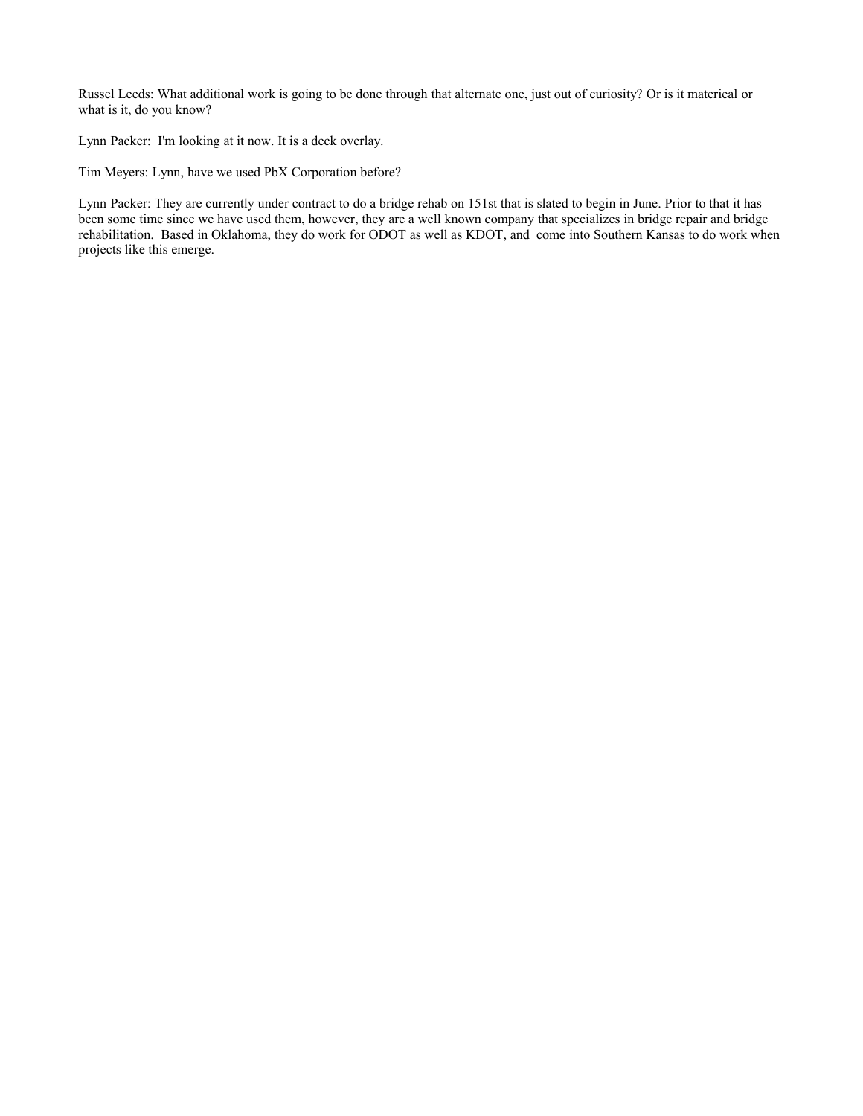Russel Leeds: What additional work is going to be done through that alternate one, just out of curiosity? Or is it materieal or what is it, do you know?

Lynn Packer: I'm looking at it now. It is a deck overlay.

Tim Meyers: Lynn, have we used PbX Corporation before?

Lynn Packer: They are currently under contract to do a bridge rehab on 151st that is slated to begin in June. Prior to that it has been some time since we have used them, however, they are a well known company that specializes in bridge repair and bridge rehabilitation. Based in Oklahoma, they do work for ODOT as well as KDOT, and come into Southern Kansas to do work when projects like this emerge.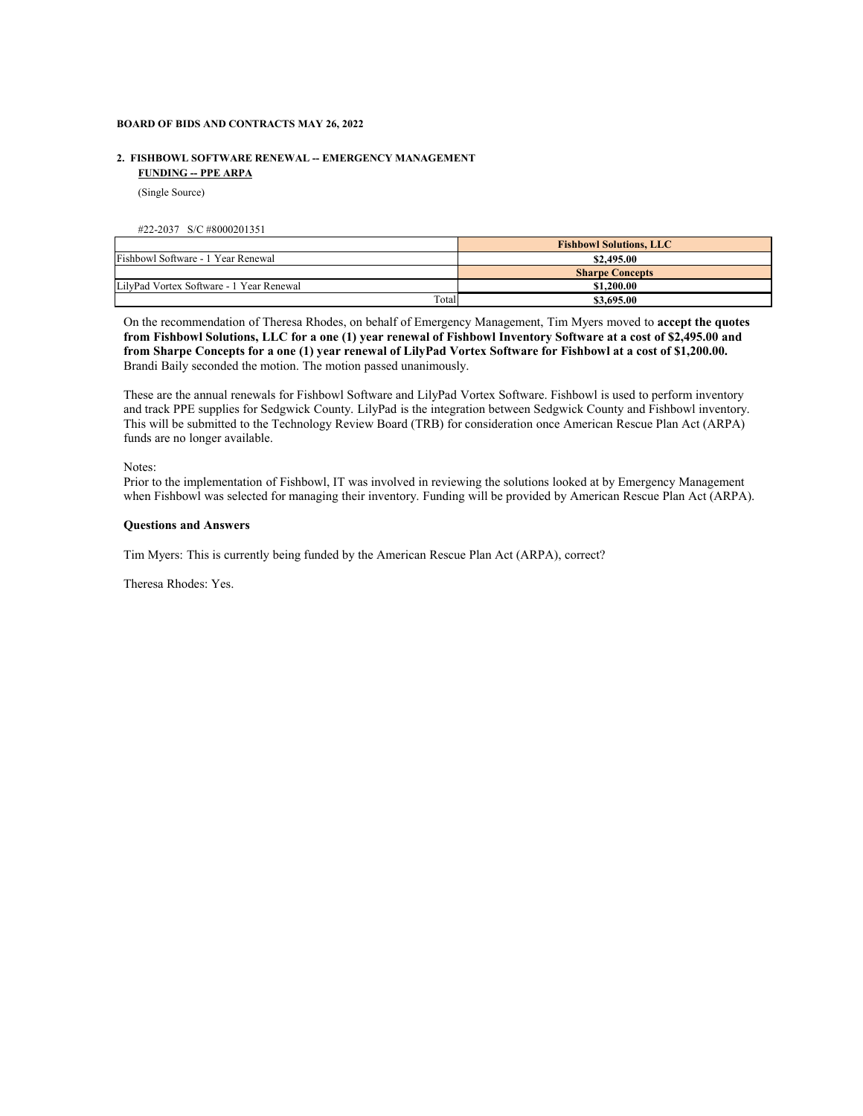### **BOARD OF BIDS AND CONTRACTS MAY 26, 2022**

## **2. FISHBOWL SOFTWARE RENEWAL -- EMERGENCY MANAGEMENT FUNDING -- PPE ARPA**

(Single Source)

#### #22-2037 S/C #8000201351

|                                          | <b>Fishbowl Solutions, LLC</b> |
|------------------------------------------|--------------------------------|
| Fishbowl Software - 1 Year Renewal       | \$2,495.00                     |
|                                          | <b>Sharpe Concepts</b>         |
| LilvPad Vortex Software - 1 Year Renewal | \$1,200.00                     |
| Total                                    | \$3,695.00                     |

On the recommendation of Theresa Rhodes, on behalf of Emergency Management, Tim Myers moved to **accept the quotes from Fishbowl Solutions, LLC for a one (1) year renewal of Fishbowl Inventory Software at a cost of \$2,495.00 and from Sharpe Concepts for a one (1) year renewal of LilyPad Vortex Software for Fishbowl at a cost of \$1,200.00.**  Brandi Baily seconded the motion. The motion passed unanimously.

These are the annual renewals for Fishbowl Software and LilyPad Vortex Software. Fishbowl is used to perform inventory and track PPE supplies for Sedgwick County. LilyPad is the integration between Sedgwick County and Fishbowl inventory. This will be submitted to the Technology Review Board (TRB) for consideration once American Rescue Plan Act (ARPA) funds are no longer available.

Notes:

Prior to the implementation of Fishbowl, IT was involved in reviewing the solutions looked at by Emergency Management when Fishbowl was selected for managing their inventory. Funding will be provided by American Rescue Plan Act (ARPA).

### **Questions and Answers**

Tim Myers: This is currently being funded by the American Rescue Plan Act (ARPA), correct?

Theresa Rhodes: Yes.